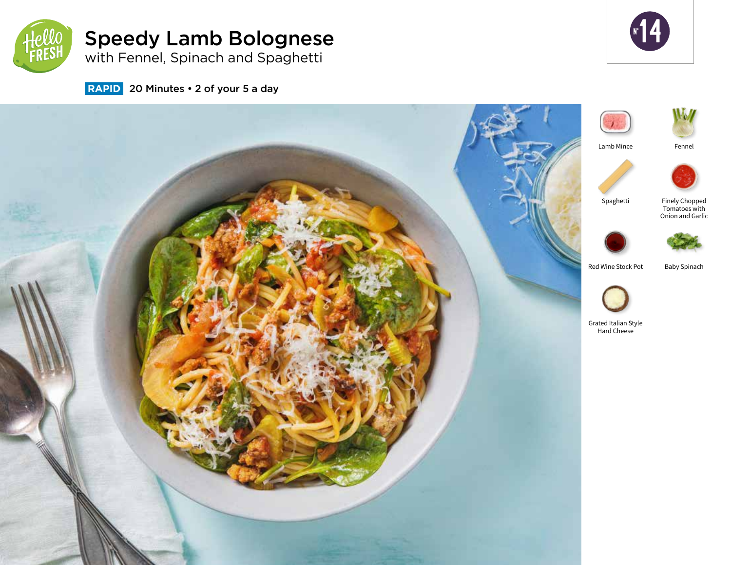

# Speedy Lamb Bolognese

**r** 14

with Fennel, Spinach and Spaghetti

 **RAPID** 20 Minutes • 2 of your 5 a day